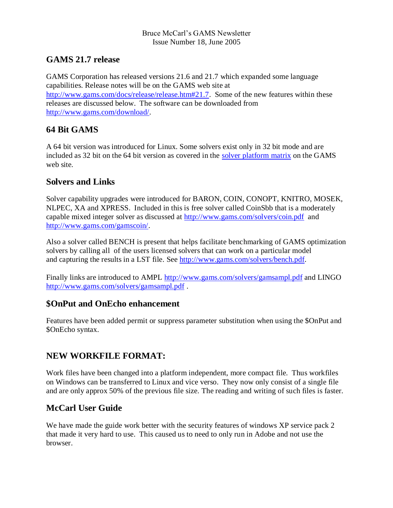#### Bruce McCarl's GAMS Newsletter Issue Number 18, June 2005

# **GAMS 21.7 release**

GAMS Corporation has released versions 21.6 and 21.7 which expanded some language capabilities. Release notes will be on the GAMS web site at [http://www.gams.com/docs/release/release.htm#21.7.](http://www.gams.com/docs/release/release.htm#21.7) Some of the new features within these releases are discussed below. The software can be downloaded from [http://www.gams.com/download/.](http://www.gams.com/download/)

# **64 Bit GAMS**

A 64 bit version was introduced for Linux. Some solvers exist only in 32 bit mode and are included as 32 bit on the 64 bit version as covered in the [solver platform matrix](http://www.gams.com/docs/release/release.htm#MATRIX) on the GAMS web site.

## **Solvers and Links**

Solver capability upgrades were introduced for BARON, COIN, CONOPT, KNITRO, MOSEK, NLPEC, XA and XPRESS. Included in this is free solver called CoinSbb that is a moderately capable mixed integer solver as discussed at<http://www.gams.com/solvers/coin.pdf>and [http://www.gams.com/gamscoin/.](http://www.gams.com/gamscoin/)

Also a solver called BENCH is present that helps facilitate benchmarking of GAMS optimization solvers by calling all of the users licensed solvers that can work on a particular model and capturing the results in a LST file. See [http://www.gams.com/solvers/bench.pdf.](http://www.gams.com/solvers/bench.pdf)

Finally links are introduced to AMPL <http://www.gams.com/solvers/gamsampl.pdf> and LINGO <http://www.gams.com/solvers/gamsampl.pdf> .

## **\$OnPut and OnEcho enhancement**

Features have been added permit or suppress parameter substitution when using the \$OnPut and \$OnEcho syntax.

# **NEW WORKFILE FORMAT:**

Work files have been changed into a platform independent, more compact file. Thus workfiles on Windows can be transferred to Linux and vice verso. They now only consist of a single file and are only approx 50% of the previous file size. The reading and writing of such files is faster.

# **McCarl User Guide**

We have made the guide work better with the security features of windows XP service pack 2 that made it very hard to use. This caused us to need to only run in Adobe and not use the browser.